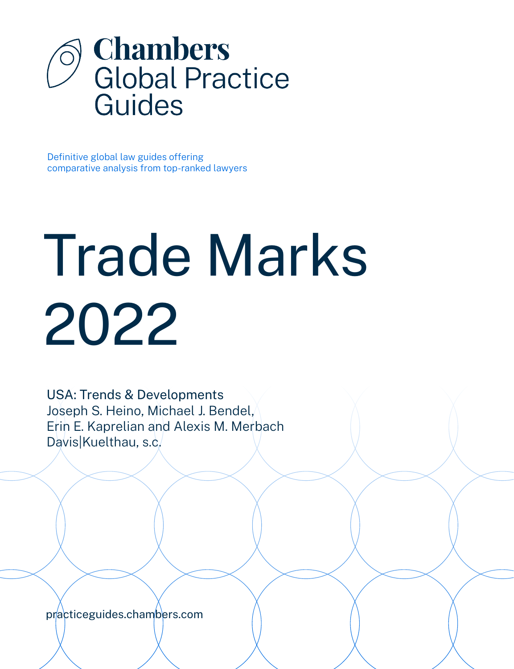

Definitive global law guides offering comparative analysis from top-ranked lawyers

# Trade Marks 2022

USA: Trends & Developments Joseph S. Heino, Michael J. Bendel, Erin E. Kaprelian and Alexis M. Merbach Davis|Kuelthau, s.c.

[practiceguides.chambers.com](http://practiceguides.chambers.com)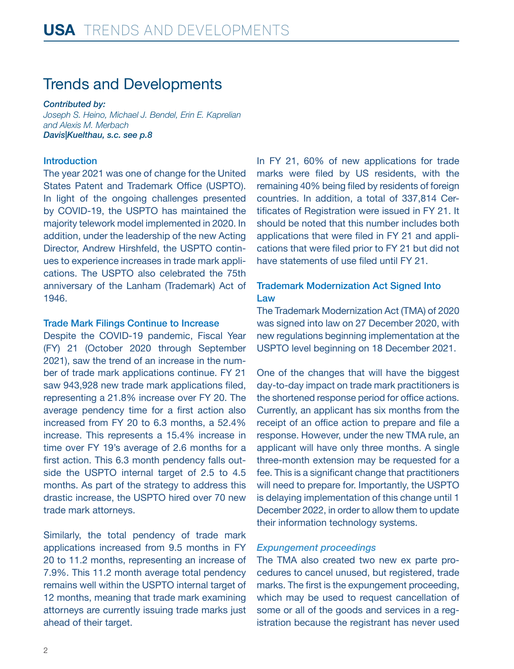## Trends and Developments

*Contributed by: Joseph S. Heino, Michael J. Bendel, Erin E. Kaprelian and Alexis M. Merbach Davis|Kuelthau, s.c[. see p.8](#page-7-0)*

#### Introduction

The year 2021 was one of change for the United States Patent and Trademark Office (USPTO). In light of the ongoing challenges presented by COVID-19, the USPTO has maintained the majority telework model implemented in 2020. In addition, under the leadership of the new Acting Director, Andrew Hirshfeld, the USPTO continues to experience increases in trade mark applications. The USPTO also celebrated the 75th anniversary of the Lanham (Trademark) Act of 1946.

#### Trade Mark Filings Continue to Increase

Despite the COVID-19 pandemic, Fiscal Year (FY) 21 (October 2020 through September 2021), saw the trend of an increase in the number of trade mark applications continue. FY 21 saw 943,928 new trade mark applications filed, representing a 21.8% increase over FY 20. The average pendency time for a first action also increased from FY 20 to 6.3 months, a 52.4% increase. This represents a 15.4% increase in time over FY 19's average of 2.6 months for a first action. This 6.3 month pendency falls outside the USPTO internal target of 2.5 to 4.5 months. As part of the strategy to address this drastic increase, the USPTO hired over 70 new trade mark attorneys.

Similarly, the total pendency of trade mark applications increased from 9.5 months in FY 20 to 11.2 months, representing an increase of 7.9%. This 11.2 month average total pendency remains well within the USPTO internal target of 12 months, meaning that trade mark examining attorneys are currently issuing trade marks just ahead of their target.

In FY 21, 60% of new applications for trade marks were filed by US residents, with the remaining 40% being filed by residents of foreign countries. In addition, a total of 337,814 Certificates of Registration were issued in FY 21. It should be noted that this number includes both applications that were filed in FY 21 and applications that were filed prior to FY 21 but did not have statements of use filed until FY 21.

#### Trademark Modernization Act Signed Into Law

The Trademark Modernization Act (TMA) of 2020 was signed into law on 27 December 2020, with new regulations beginning implementation at the USPTO level beginning on 18 December 2021.

One of the changes that will have the biggest day-to-day impact on trade mark practitioners is the shortened response period for office actions. Currently, an applicant has six months from the receipt of an office action to prepare and file a response. However, under the new TMA rule, an applicant will have only three months. A single three-month extension may be requested for a fee. This is a significant change that practitioners will need to prepare for. Importantly, the USPTO is delaying implementation of this change until 1 December 2022, in order to allow them to update their information technology systems.

#### *Expungement proceedings*

The TMA also created two new ex parte procedures to cancel unused, but registered, trade marks. The first is the expungement proceeding, which may be used to request cancellation of some or all of the goods and services in a registration because the registrant has never used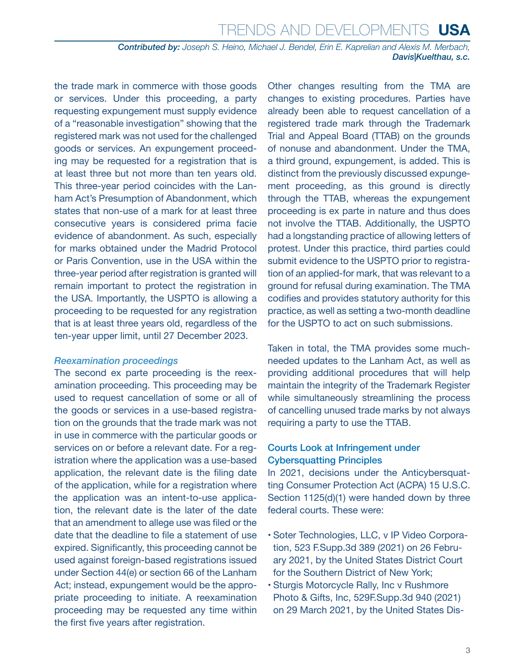*Contributed by: Joseph S. Heino, Michael J. Bendel, Erin E. Kaprelian and Alexis M. Merbach, Davis|Kuelthau, s.c.*

the trade mark in commerce with those goods or services. Under this proceeding, a party requesting expungement must supply evidence of a "reasonable investigation" showing that the registered mark was not used for the challenged goods or services. An expungement proceeding may be requested for a registration that is at least three but not more than ten years old. This three-year period coincides with the Lanham Act's Presumption of Abandonment, which states that non-use of a mark for at least three consecutive years is considered prima facie evidence of abandonment. As such, especially for marks obtained under the Madrid Protocol or Paris Convention, use in the USA within the three-year period after registration is granted will remain important to protect the registration in the USA. Importantly, the USPTO is allowing a proceeding to be requested for any registration that is at least three years old, regardless of the ten-year upper limit, until 27 December 2023.

#### *Reexamination proceedings*

The second ex parte proceeding is the reexamination proceeding. This proceeding may be used to request cancellation of some or all of the goods or services in a use-based registration on the grounds that the trade mark was not in use in commerce with the particular goods or services on or before a relevant date. For a registration where the application was a use-based application, the relevant date is the filing date of the application, while for a registration where the application was an intent-to-use application, the relevant date is the later of the date that an amendment to allege use was filed or the date that the deadline to file a statement of use expired. Significantly, this proceeding cannot be used against foreign-based registrations issued under Section 44(e) or section 66 of the Lanham Act; instead, expungement would be the appropriate proceeding to initiate. A reexamination proceeding may be requested any time within the first five years after registration.

Other changes resulting from the TMA are changes to existing procedures. Parties have already been able to request cancellation of a registered trade mark through the Trademark Trial and Appeal Board (TTAB) on the grounds of nonuse and abandonment. Under the TMA, a third ground, expungement, is added. This is distinct from the previously discussed expungement proceeding, as this ground is directly through the TTAB, whereas the expungement proceeding is ex parte in nature and thus does not involve the TTAB. Additionally, the USPTO had a longstanding practice of allowing letters of protest. Under this practice, third parties could submit evidence to the USPTO prior to registration of an applied-for mark, that was relevant to a ground for refusal during examination. The TMA codifies and provides statutory authority for this practice, as well as setting a two-month deadline for the USPTO to act on such submissions.

Taken in total, the TMA provides some muchneeded updates to the Lanham Act, as well as providing additional procedures that will help maintain the integrity of the Trademark Register while simultaneously streamlining the process of cancelling unused trade marks by not always requiring a party to use the TTAB.

#### Courts Look at Infringement under Cybersquatting Principles

In 2021, decisions under the Anticybersquatting Consumer Protection Act (ACPA) 15 U.S.C. Section 1125(d)(1) were handed down by three federal courts. These were:

- Soter Technologies, LLC, v IP Video Corporation, 523 F.Supp.3d 389 (2021) on 26 February 2021, by the United States District Court for the Southern District of New York;
- Sturgis Motorcycle Rally, Inc v Rushmore Photo & Gifts, Inc, 529F.Supp.3d 940 (2021) on 29 March 2021, by the United States Dis-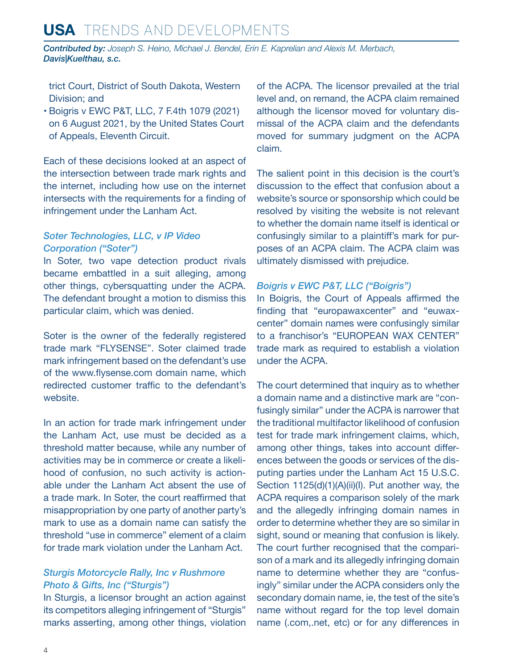## **USA** Trends and Developments

*Contributed by: Joseph S. Heino, Michael J. Bendel, Erin E. Kaprelian and Alexis M. Merbach, Davis|Kuelthau, s.c.*

trict Court, District of South Dakota, Western Division; and

• Boigris v EWC P&T, LLC, 7 F.4th 1079 (2021) on 6 August 2021, by the United States Court of Appeals, Eleventh Circuit.

Each of these decisions looked at an aspect of the intersection between trade mark rights and the internet, including how use on the internet intersects with the requirements for a finding of infringement under the Lanham Act.

#### *Soter Technologies, LLC, v IP Video Corporation ("Soter")*

In Soter, two vape detection product rivals became embattled in a suit alleging, among other things, cybersquatting under the ACPA. The defendant brought a motion to dismiss this particular claim, which was denied.

Soter is the owner of the federally registered trade mark "FLYSENSE". Soter claimed trade mark infringement based on the defendant's use of the [www.flysense.com](http://www.flysense.com) domain name, which redirected customer traffic to the defendant's website.

In an action for trade mark infringement under the Lanham Act, use must be decided as a threshold matter because, while any number of activities may be in commerce or create a likelihood of confusion, no such activity is actionable under the Lanham Act absent the use of a trade mark. In Soter, the court reaffirmed that misappropriation by one party of another party's mark to use as a domain name can satisfy the threshold "use in commerce" element of a claim for trade mark violation under the Lanham Act.

#### *Sturgis Motorcycle Rally, Inc v Rushmore Photo & Gifts, Inc ("Sturgis")*

In Sturgis, a licensor brought an action against its competitors alleging infringement of "Sturgis" marks asserting, among other things, violation of the ACPA. The licensor prevailed at the trial level and, on remand, the ACPA claim remained although the licensor moved for voluntary dismissal of the ACPA claim and the defendants moved for summary judgment on the ACPA claim.

The salient point in this decision is the court's discussion to the effect that confusion about a website's source or sponsorship which could be resolved by visiting the website is not relevant to whether the domain name itself is identical or confusingly similar to a plaintiff's mark for purposes of an ACPA claim. The ACPA claim was ultimately dismissed with prejudice.

#### *Boigris v EWC P&T, LLC ("Boigris")*

In Boigris, the Court of Appeals affirmed the finding that "europawaxcenter" and "euwaxcenter" domain names were confusingly similar to a franchisor's "EUROPEAN WAX CENTER" trade mark as required to establish a violation under the ACPA.

The court determined that inquiry as to whether a domain name and a distinctive mark are "confusingly similar" under the ACPA is narrower that the traditional multifactor likelihood of confusion test for trade mark infringement claims, which, among other things, takes into account differences between the goods or services of the disputing parties under the Lanham Act 15 U.S.C. Section 1125(d)(1)(A)(ii)(I). Put another way, the ACPA requires a comparison solely of the mark and the allegedly infringing domain names in order to determine whether they are so similar in sight, sound or meaning that confusion is likely. The court further recognised that the comparison of a mark and its allegedly infringing domain name to determine whether they are "confusingly" similar under the ACPA considers only the secondary domain name, ie, the test of the site's name without regard for the top level domain name (.com,.net, etc) or for any differences in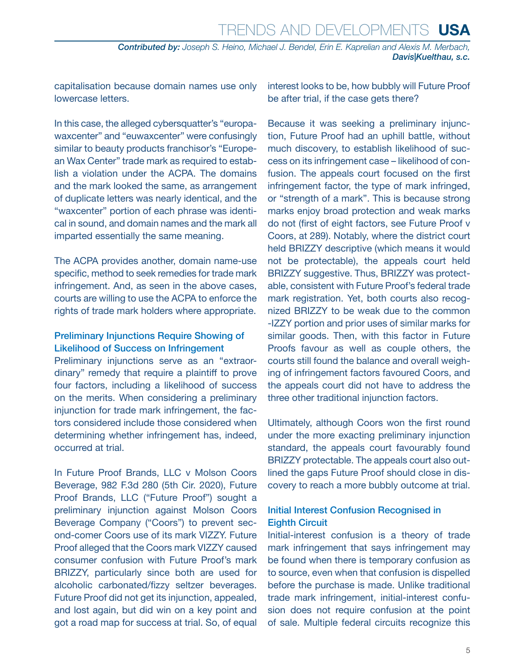*Contributed by: Joseph S. Heino, Michael J. Bendel, Erin E. Kaprelian and Alexis M. Merbach, Davis|Kuelthau, s.c.*

capitalisation because domain names use only lowercase letters.

In this case, the alleged cybersquatter's "europawaxcenter" and "euwaxcenter" were confusingly similar to beauty products franchisor's "European Wax Center" trade mark as required to establish a violation under the ACPA. The domains and the mark looked the same, as arrangement of duplicate letters was nearly identical, and the "waxcenter" portion of each phrase was identical in sound, and domain names and the mark all imparted essentially the same meaning.

The ACPA provides another, domain name-use specific, method to seek remedies for trade mark infringement. And, as seen in the above cases, courts are willing to use the ACPA to enforce the rights of trade mark holders where appropriate.

#### Preliminary Injunctions Require Showing of Likelihood of Success on Infringement

Preliminary injunctions serve as an "extraordinary" remedy that require a plaintiff to prove four factors, including a likelihood of success on the merits. When considering a preliminary injunction for trade mark infringement, the factors considered include those considered when determining whether infringement has, indeed, occurred at trial.

In Future Proof Brands, LLC v Molson Coors Beverage, 982 F.3d 280 (5th Cir. 2020), Future Proof Brands, LLC ("Future Proof") sought a preliminary injunction against Molson Coors Beverage Company ("Coors") to prevent second-comer Coors use of its mark VIZZY. Future Proof alleged that the Coors mark VIZZY caused consumer confusion with Future Proof's mark BRIZZY, particularly since both are used for alcoholic carbonated/fizzy seltzer beverages. Future Proof did not get its injunction, appealed, and lost again, but did win on a key point and got a road map for success at trial. So, of equal interest looks to be, how bubbly will Future Proof be after trial, if the case gets there?

Because it was seeking a preliminary injunction, Future Proof had an uphill battle, without much discovery, to establish likelihood of success on its infringement case – likelihood of confusion. The appeals court focused on the first infringement factor, the type of mark infringed, or "strength of a mark". This is because strong marks enjoy broad protection and weak marks do not (first of eight factors, see Future Proof v Coors, at 289). Notably, where the district court held BRIZZY descriptive (which means it would not be protectable), the appeals court held BRIZZY suggestive. Thus, BRIZZY was protectable, consistent with Future Proof's federal trade mark registration. Yet, both courts also recognized BRIZZY to be weak due to the common -IZZY portion and prior uses of similar marks for similar goods. Then, with this factor in Future Proofs favour as well as couple others, the courts still found the balance and overall weighing of infringement factors favoured Coors, and the appeals court did not have to address the three other traditional injunction factors.

Ultimately, although Coors won the first round under the more exacting preliminary injunction standard, the appeals court favourably found BRIZZY protectable. The appeals court also outlined the gaps Future Proof should close in discovery to reach a more bubbly outcome at trial.

#### Initial Interest Confusion Recognised in Eighth Circuit

Initial-interest confusion is a theory of trade mark infringement that says infringement may be found when there is temporary confusion as to source, even when that confusion is dispelled before the purchase is made. Unlike traditional trade mark infringement, initial-interest confusion does not require confusion at the point of sale. Multiple federal circuits recognize this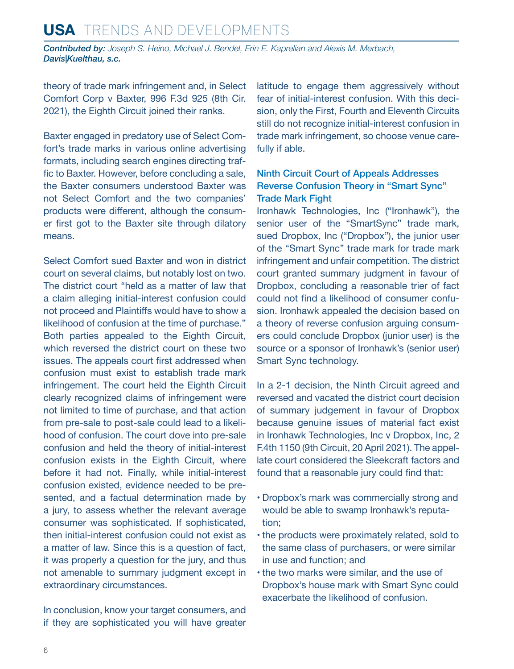## **USA** Trends and Developments

*Contributed by: Joseph S. Heino, Michael J. Bendel, Erin E. Kaprelian and Alexis M. Merbach, Davis|Kuelthau, s.c.*

theory of trade mark infringement and, in Select Comfort Corp v Baxter, 996 F.3d 925 (8th Cir. 2021), the Eighth Circuit joined their ranks.

Baxter engaged in predatory use of Select Comfort's trade marks in various online advertising formats, including search engines directing traffic to Baxter. However, before concluding a sale, the Baxter consumers understood Baxter was not Select Comfort and the two companies' products were different, although the consumer first got to the Baxter site through dilatory means.

Select Comfort sued Baxter and won in district court on several claims, but notably lost on two. The district court "held as a matter of law that a claim alleging initial-interest confusion could not proceed and Plaintiffs would have to show a likelihood of confusion at the time of purchase." Both parties appealed to the Eighth Circuit, which reversed the district court on these two issues. The appeals court first addressed when confusion must exist to establish trade mark infringement. The court held the Eighth Circuit clearly recognized claims of infringement were not limited to time of purchase, and that action from pre-sale to post-sale could lead to a likelihood of confusion. The court dove into pre-sale confusion and held the theory of initial-interest confusion exists in the Eighth Circuit, where before it had not. Finally, while initial-interest confusion existed, evidence needed to be presented, and a factual determination made by a jury, to assess whether the relevant average consumer was sophisticated. If sophisticated, then initial-interest confusion could not exist as a matter of law. Since this is a question of fact, it was properly a question for the jury, and thus not amenable to summary judgment except in extraordinary circumstances.

In conclusion, know your target consumers, and if they are sophisticated you will have greater latitude to engage them aggressively without fear of initial-interest confusion. With this decision, only the First, Fourth and Eleventh Circuits still do not recognize initial-interest confusion in trade mark infringement, so choose venue carefully if able.

#### Ninth Circuit Court of Appeals Addresses Reverse Confusion Theory in "Smart Sync" Trade Mark Fight

Ironhawk Technologies, Inc ("Ironhawk"), the senior user of the "SmartSync" trade mark, sued Dropbox, Inc ("Dropbox"), the junior user of the "Smart Sync" trade mark for trade mark infringement and unfair competition. The district court granted summary judgment in favour of Dropbox, concluding a reasonable trier of fact could not find a likelihood of consumer confusion. Ironhawk appealed the decision based on a theory of reverse confusion arguing consumers could conclude Dropbox (junior user) is the source or a sponsor of Ironhawk's (senior user) Smart Sync technology.

In a 2-1 decision, the Ninth Circuit agreed and reversed and vacated the district court decision of summary judgement in favour of Dropbox because genuine issues of material fact exist in Ironhawk Technologies, Inc v Dropbox, Inc, 2 F.4th 1150 (9th Circuit, 20 April 2021). The appellate court considered the Sleekcraft factors and found that a reasonable jury could find that:

- Dropbox's mark was commercially strong and would be able to swamp Ironhawk's reputation;
- the products were proximately related, sold to the same class of purchasers, or were similar in use and function; and
- the two marks were similar, and the use of Dropbox's house mark with Smart Sync could exacerbate the likelihood of confusion.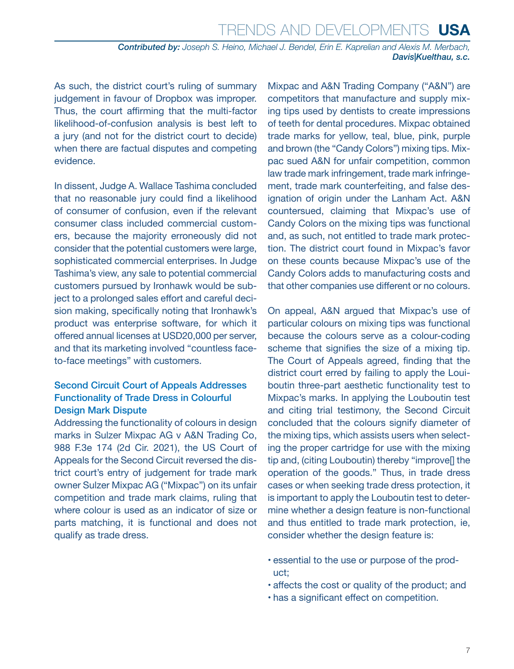*Contributed by: Joseph S. Heino, Michael J. Bendel, Erin E. Kaprelian and Alexis M. Merbach, Davis|Kuelthau, s.c.*

As such, the district court's ruling of summary judgement in favour of Dropbox was improper. Thus, the court affirming that the multi-factor likelihood-of-confusion analysis is best left to a jury (and not for the district court to decide) when there are factual disputes and competing evidence.

In dissent, Judge A. Wallace Tashima concluded that no reasonable jury could find a likelihood of consumer of confusion, even if the relevant consumer class included commercial customers, because the majority erroneously did not consider that the potential customers were large, sophisticated commercial enterprises. In Judge Tashima's view, any sale to potential commercial customers pursued by Ironhawk would be subject to a prolonged sales effort and careful decision making, specifically noting that Ironhawk's product was enterprise software, for which it offered annual licenses at USD20,000 per server, and that its marketing involved "countless faceto-face meetings" with customers.

#### Second Circuit Court of Appeals Addresses Functionality of Trade Dress in Colourful Design Mark Dispute

Addressing the functionality of colours in design marks in Sulzer Mixpac AG v A&N Trading Co, 988 F.3e 174 (2d Cir. 2021), the US Court of Appeals for the Second Circuit reversed the district court's entry of judgement for trade mark owner Sulzer Mixpac AG ("Mixpac") on its unfair competition and trade mark claims, ruling that where colour is used as an indicator of size or parts matching, it is functional and does not qualify as trade dress.

Mixpac and A&N Trading Company ("A&N") are competitors that manufacture and supply mixing tips used by dentists to create impressions of teeth for dental procedures. Mixpac obtained trade marks for yellow, teal, blue, pink, purple and brown (the "Candy Colors") mixing tips. Mixpac sued A&N for unfair competition, common law trade mark infringement, trade mark infringement, trade mark counterfeiting, and false designation of origin under the Lanham Act. A&N countersued, claiming that Mixpac's use of Candy Colors on the mixing tips was functional and, as such, not entitled to trade mark protection. The district court found in Mixpac's favor on these counts because Mixpac's use of the Candy Colors adds to manufacturing costs and that other companies use different or no colours.

On appeal, A&N argued that Mixpac's use of particular colours on mixing tips was functional because the colours serve as a colour-coding scheme that signifies the size of a mixing tip. The Court of Appeals agreed, finding that the district court erred by failing to apply the Louiboutin three-part aesthetic functionality test to Mixpac's marks. In applying the Louboutin test and citing trial testimony, the Second Circuit concluded that the colours signify diameter of the mixing tips, which assists users when selecting the proper cartridge for use with the mixing tip and, (citing Louboutin) thereby "improve[] the operation of the goods." Thus, in trade dress cases or when seeking trade dress protection, it is important to apply the Louboutin test to determine whether a design feature is non-functional and thus entitled to trade mark protection, ie, consider whether the design feature is:

- essential to the use or purpose of the product;
- affects the cost or quality of the product; and
- has a significant effect on competition.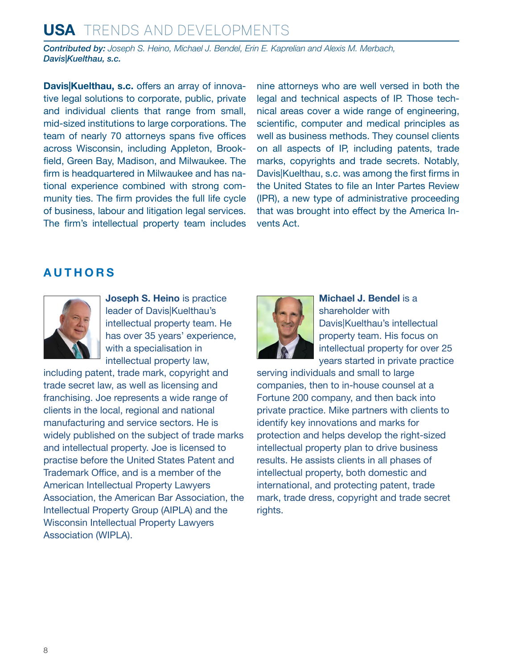## **USA** Trends and Developments

*Contributed by: Joseph S. Heino, Michael J. Bendel, Erin E. Kaprelian and Alexis M. Merbach, Davis|Kuelthau, s.c.*

**Davis|Kuelthau, s.c.** offers an array of innovative legal solutions to corporate, public, private and individual clients that range from small, mid-sized institutions to large corporations. The team of nearly 70 attorneys spans five offices across Wisconsin, including Appleton, Brookfield, Green Bay, Madison, and Milwaukee. The firm is headquartered in Milwaukee and has national experience combined with strong community ties. The firm provides the full life cycle of business, labour and litigation legal services. The firm's intellectual property team includes nine attorneys who are well versed in both the legal and technical aspects of IP. Those technical areas cover a wide range of engineering, scientific, computer and medical principles as well as business methods. They counsel clients on all aspects of IP, including patents, trade marks, copyrights and trade secrets. Notably, Davis|Kuelthau, s.c. was among the first firms in the United States to file an Inter Partes Review (IPR), a new type of administrative proceeding that was brought into effect by the America Invents Act.

## <span id="page-7-0"></span>**AUTHORS**



**Joseph S. Heino** is practice leader of Davis|Kuelthau's intellectual property team. He has over 35 years' experience, with a specialisation in intellectual property law,

including patent, trade mark, copyright and trade secret law, as well as licensing and franchising. Joe represents a wide range of clients in the local, regional and national manufacturing and service sectors. He is widely published on the subject of trade marks and intellectual property. Joe is licensed to practise before the United States Patent and Trademark Office, and is a member of the American Intellectual Property Lawyers Association, the American Bar Association, the Intellectual Property Group (AIPLA) and the Wisconsin Intellectual Property Lawyers Association (WIPLA).



**Michael J. Bendel** is a shareholder with Davis|Kuelthau's intellectual property team. His focus on intellectual property for over 25 years started in private practice

serving individuals and small to large companies, then to in-house counsel at a Fortune 200 company, and then back into private practice. Mike partners with clients to identify key innovations and marks for protection and helps develop the right-sized intellectual property plan to drive business results. He assists clients in all phases of intellectual property, both domestic and international, and protecting patent, trade mark, trade dress, copyright and trade secret rights.